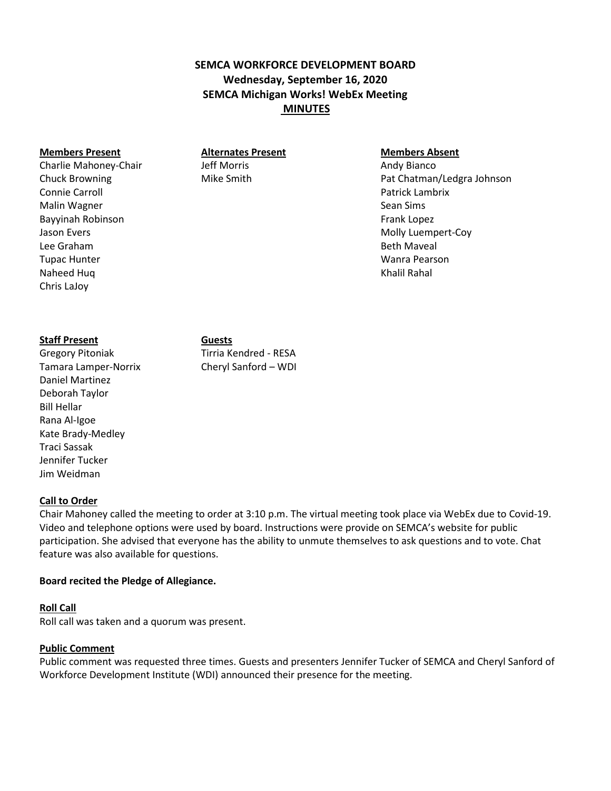# **SEMCA WORKFORCE DEVELOPMENT BOARD Wednesday, September 16, 2020 SEMCA Michigan Works! WebEx Meeting MINUTES**

#### **Members Present Alternates Present Members Absent**

Charlie Mahoney-Chair **Mathew 19th Morris** Andy Bianco Chuck Browning The Chuck Browning Mike Smith Pat Chatman/Ledgra Johnson Connie Carroll Patrick Lambrix Malin Wagner Sean Sims Bayyinah Robinson **Frank Lopez Example 2** and the state of the state of the Frank Lopez Jason Evers **Molly Luempert-Coy** Lee Graham Beth Maveal Tupac Hunter Wanra Pearson Naheed Huq Khalil Rahal Naheed Huq Khalil Rahal Naheed Huq Khalil Rahal Naheed Huq Khalil Rahal Naheed Huq Khalil Rahal Naheed Huq Khalil Rahal Naheed Huq Khalil Rahal Naheed Huq Khalil Rahal Naheed Huq Khalil Rahal Naheed

#### **Staff Present Guests**

Chris LaJoy

Gregory Pitoniak Tirria Kendred - RESA Tamara Lamper-Norrix Cheryl Sanford – WDI Daniel Martinez Deborah Taylor Bill Hellar Rana Al-Igoe Kate Brady-Medley Traci Sassak Jennifer Tucker Jim Weidman

#### **Call to Order**

Chair Mahoney called the meeting to order at 3:10 p.m. The virtual meeting took place via WebEx due to Covid-19. Video and telephone options were used by board. Instructions were provide on SEMCA's website for public participation. She advised that everyone has the ability to unmute themselves to ask questions and to vote. Chat feature was also available for questions.

#### **Board recited the Pledge of Allegiance.**

#### **Roll Call**

Roll call was taken and a quorum was present.

#### **Public Comment**

Public comment was requested three times. Guests and presenters Jennifer Tucker of SEMCA and Cheryl Sanford of Workforce Development Institute (WDI) announced their presence for the meeting.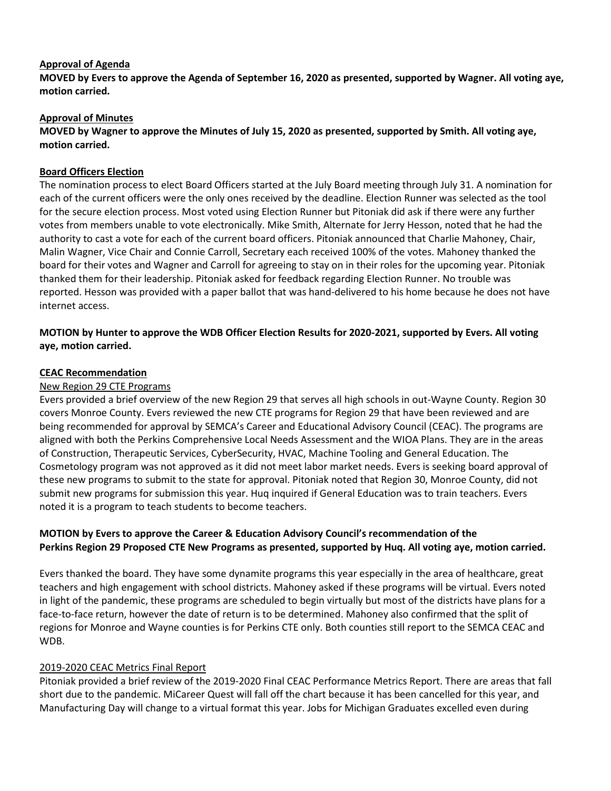## **Approval of Agenda**

**MOVED by Evers to approve the Agenda of September 16, 2020 as presented, supported by Wagner. All voting aye, motion carried.**

### **Approval of Minutes**

## **MOVED by Wagner to approve the Minutes of July 15, 2020 as presented, supported by Smith. All voting aye, motion carried.**

#### **Board Officers Election**

The nomination process to elect Board Officers started at the July Board meeting through July 31. A nomination for each of the current officers were the only ones received by the deadline. Election Runner was selected as the tool for the secure election process. Most voted using Election Runner but Pitoniak did ask if there were any further votes from members unable to vote electronically. Mike Smith, Alternate for Jerry Hesson, noted that he had the authority to cast a vote for each of the current board officers. Pitoniak announced that Charlie Mahoney, Chair, Malin Wagner, Vice Chair and Connie Carroll, Secretary each received 100% of the votes. Mahoney thanked the board for their votes and Wagner and Carroll for agreeing to stay on in their roles for the upcoming year. Pitoniak thanked them for their leadership. Pitoniak asked for feedback regarding Election Runner. No trouble was reported. Hesson was provided with a paper ballot that was hand-delivered to his home because he does not have internet access.

## **MOTION by Hunter to approve the WDB Officer Election Results for 2020-2021, supported by Evers. All voting aye, motion carried.**

#### **CEAC Recommendation**

#### New Region 29 CTE Programs

Evers provided a brief overview of the new Region 29 that serves all high schools in out-Wayne County. Region 30 covers Monroe County. Evers reviewed the new CTE programs for Region 29 that have been reviewed and are being recommended for approval by SEMCA's Career and Educational Advisory Council (CEAC). The programs are aligned with both the Perkins Comprehensive Local Needs Assessment and the WIOA Plans. They are in the areas of Construction, Therapeutic Services, CyberSecurity, HVAC, Machine Tooling and General Education. The Cosmetology program was not approved as it did not meet labor market needs. Evers is seeking board approval of these new programs to submit to the state for approval. Pitoniak noted that Region 30, Monroe County, did not submit new programs for submission this year. Huq inquired if General Education was to train teachers. Evers noted it is a program to teach students to become teachers.

### **MOTION by Evers to approve the Career & Education Advisory Council's recommendation of the Perkins Region 29 Proposed CTE New Programs as presented, supported by Huq. All voting aye, motion carried.**

Evers thanked the board. They have some dynamite programs this year especially in the area of healthcare, great teachers and high engagement with school districts. Mahoney asked if these programs will be virtual. Evers noted in light of the pandemic, these programs are scheduled to begin virtually but most of the districts have plans for a face-to-face return, however the date of return is to be determined. Mahoney also confirmed that the split of regions for Monroe and Wayne counties is for Perkins CTE only. Both counties still report to the SEMCA CEAC and WDB.

#### 2019-2020 CEAC Metrics Final Report

Pitoniak provided a brief review of the 2019-2020 Final CEAC Performance Metrics Report. There are areas that fall short due to the pandemic. MiCareer Quest will fall off the chart because it has been cancelled for this year, and Manufacturing Day will change to a virtual format this year. Jobs for Michigan Graduates excelled even during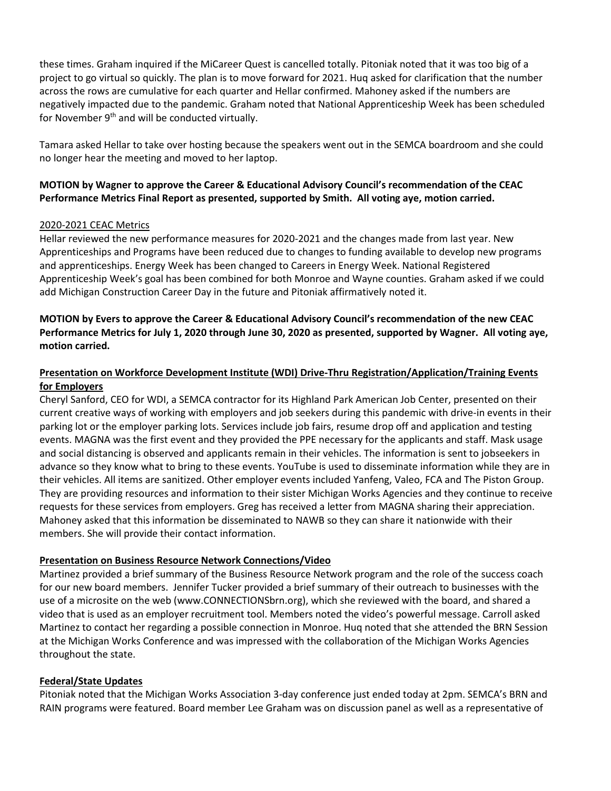these times. Graham inquired if the MiCareer Quest is cancelled totally. Pitoniak noted that it was too big of a project to go virtual so quickly. The plan is to move forward for 2021. Huq asked for clarification that the number across the rows are cumulative for each quarter and Hellar confirmed. Mahoney asked if the numbers are negatively impacted due to the pandemic. Graham noted that National Apprenticeship Week has been scheduled for November 9<sup>th</sup> and will be conducted virtually.

Tamara asked Hellar to take over hosting because the speakers went out in the SEMCA boardroom and she could no longer hear the meeting and moved to her laptop.

## **MOTION by Wagner to approve the Career & Educational Advisory Council's recommendation of the CEAC Performance Metrics Final Report as presented, supported by Smith. All voting aye, motion carried.**

### 2020-2021 CEAC Metrics

Hellar reviewed the new performance measures for 2020-2021 and the changes made from last year. New Apprenticeships and Programs have been reduced due to changes to funding available to develop new programs and apprenticeships. Energy Week has been changed to Careers in Energy Week. National Registered Apprenticeship Week's goal has been combined for both Monroe and Wayne counties. Graham asked if we could add Michigan Construction Career Day in the future and Pitoniak affirmatively noted it.

## **MOTION by Evers to approve the Career & Educational Advisory Council's recommendation of the new CEAC Performance Metrics for July 1, 2020 through June 30, 2020 as presented, supported by Wagner. All voting aye, motion carried.**

### **Presentation on Workforce Development Institute (WDI) Drive-Thru Registration/Application/Training Events for Employers**

Cheryl Sanford, CEO for WDI, a SEMCA contractor for its Highland Park American Job Center, presented on their current creative ways of working with employers and job seekers during this pandemic with drive-in events in their parking lot or the employer parking lots. Services include job fairs, resume drop off and application and testing events. MAGNA was the first event and they provided the PPE necessary for the applicants and staff. Mask usage and social distancing is observed and applicants remain in their vehicles. The information is sent to jobseekers in advance so they know what to bring to these events. YouTube is used to disseminate information while they are in their vehicles. All items are sanitized. Other employer events included Yanfeng, Valeo, FCA and The Piston Group. They are providing resources and information to their sister Michigan Works Agencies and they continue to receive requests for these services from employers. Greg has received a letter from MAGNA sharing their appreciation. Mahoney asked that this information be disseminated to NAWB so they can share it nationwide with their members. She will provide their contact information.

#### **Presentation on Business Resource Network Connections/Video**

Martinez provided a brief summary of the Business Resource Network program and the role of the success coach for our new board members. Jennifer Tucker provided a brief summary of their outreach to businesses with the use of a microsite on the web (www.CONNECTIONSbrn.org), which she reviewed with the board, and shared a video that is used as an employer recruitment tool. Members noted the video's powerful message. Carroll asked Martinez to contact her regarding a possible connection in Monroe. Huq noted that she attended the BRN Session at the Michigan Works Conference and was impressed with the collaboration of the Michigan Works Agencies throughout the state.

#### **Federal/State Updates**

Pitoniak noted that the Michigan Works Association 3-day conference just ended today at 2pm. SEMCA's BRN and RAIN programs were featured. Board member Lee Graham was on discussion panel as well as a representative of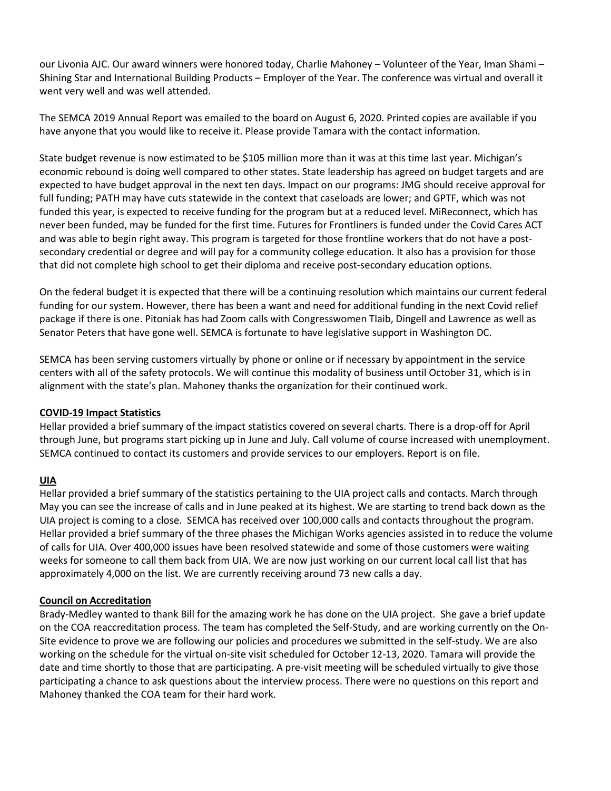our Livonia AJC. Our award winners were honored today, Charlie Mahoney – Volunteer of the Year, Iman Shami – Shining Star and International Building Products – Employer of the Year. The conference was virtual and overall it went very well and was well attended.

The SEMCA 2019 Annual Report was emailed to the board on August 6, 2020. Printed copies are available if you have anyone that you would like to receive it. Please provide Tamara with the contact information.

State budget revenue is now estimated to be \$105 million more than it was at this time last year. Michigan's economic rebound is doing well compared to other states. State leadership has agreed on budget targets and are expected to have budget approval in the next ten days. Impact on our programs: JMG should receive approval for full funding; PATH may have cuts statewide in the context that caseloads are lower; and GPTF, which was not funded this year, is expected to receive funding for the program but at a reduced level. MiReconnect, which has never been funded, may be funded for the first time. Futures for Frontliners is funded under the Covid Cares ACT and was able to begin right away. This program is targeted for those frontline workers that do not have a postsecondary credential or degree and will pay for a community college education. It also has a provision for those that did not complete high school to get their diploma and receive post-secondary education options.

On the federal budget it is expected that there will be a continuing resolution which maintains our current federal funding for our system. However, there has been a want and need for additional funding in the next Covid relief package if there is one. Pitoniak has had Zoom calls with Congresswomen Tlaib, Dingell and Lawrence as well as Senator Peters that have gone well. SEMCA is fortunate to have legislative support in Washington DC.

SEMCA has been serving customers virtually by phone or online or if necessary by appointment in the service centers with all of the safety protocols. We will continue this modality of business until October 31, which is in alignment with the state's plan. Mahoney thanks the organization for their continued work.

#### **COVID-19 Impact Statistics**

Hellar provided a brief summary of the impact statistics covered on several charts. There is a drop-off for April through June, but programs start picking up in June and July. Call volume of course increased with unemployment. SEMCA continued to contact its customers and provide services to our employers. Report is on file.

#### **UIA**

Hellar provided a brief summary of the statistics pertaining to the UIA project calls and contacts. March through May you can see the increase of calls and in June peaked at its highest. We are starting to trend back down as the UIA project is coming to a close. SEMCA has received over 100,000 calls and contacts throughout the program. Hellar provided a brief summary of the three phases the Michigan Works agencies assisted in to reduce the volume of calls for UIA. Over 400,000 issues have been resolved statewide and some of those customers were waiting weeks for someone to call them back from UIA. We are now just working on our current local call list that has approximately 4,000 on the list. We are currently receiving around 73 new calls a day.

#### **Council on Accreditation**

Brady-Medley wanted to thank Bill for the amazing work he has done on the UIA project. She gave a brief update on the COA reaccreditation process. The team has completed the Self-Study, and are working currently on the On-Site evidence to prove we are following our policies and procedures we submitted in the self-study. We are also working on the schedule for the virtual on-site visit scheduled for October 12-13, 2020. Tamara will provide the date and time shortly to those that are participating. A pre-visit meeting will be scheduled virtually to give those participating a chance to ask questions about the interview process. There were no questions on this report and Mahoney thanked the COA team for their hard work.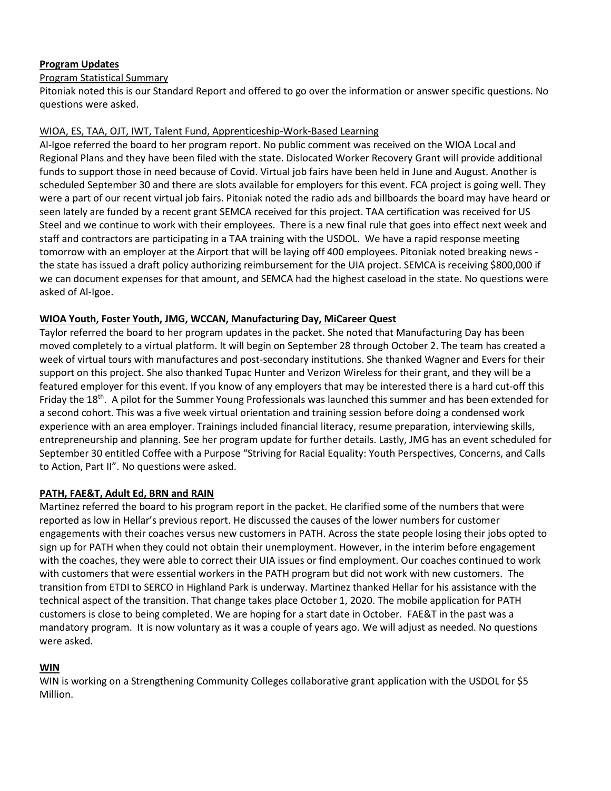## **Program Updates**

## Program Statistical Summary

Pitoniak noted this is our Standard Report and offered to go over the information or answer specific questions. No questions were asked.

### WIOA, ES, TAA, OJT, IWT, Talent Fund, Apprenticeship-Work-Based Learning

Al-Igoe referred the board to her program report. No public comment was received on the WIOA Local and Regional Plans and they have been filed with the state. Dislocated Worker Recovery Grant will provide additional funds to support those in need because of Covid. Virtual job fairs have been held in June and August. Another is scheduled September 30 and there are slots available for employers for this event. FCA project is going well. They were a part of our recent virtual job fairs. Pitoniak noted the radio ads and billboards the board may have heard or seen lately are funded by a recent grant SEMCA received for this project. TAA certification was received for US Steel and we continue to work with their employees. There is a new final rule that goes into effect next week and staff and contractors are participating in a TAA training with the USDOL. We have a rapid response meeting tomorrow with an employer at the Airport that will be laying off 400 employees. Pitoniak noted breaking news the state has issued a draft policy authorizing reimbursement for the UIA project. SEMCA is receiving \$800,000 if we can document expenses for that amount, and SEMCA had the highest caseload in the state. No questions were asked of Al-Igoe.

### **WIOA Youth, Foster Youth, JMG, WCCAN, Manufacturing Day, MiCareer Quest**

Taylor referred the board to her program updates in the packet. She noted that Manufacturing Day has been moved completely to a virtual platform. It will begin on September 28 through October 2. The team has created a week of virtual tours with manufactures and post-secondary institutions. She thanked Wagner and Evers for their support on this project. She also thanked Tupac Hunter and Verizon Wireless for their grant, and they will be a featured employer for this event. If you know of any employers that may be interested there is a hard cut-off this Friday the 18<sup>th</sup>. A pilot for the Summer Young Professionals was launched this summer and has been extended for a second cohort. This was a five week virtual orientation and training session before doing a condensed work experience with an area employer. Trainings included financial literacy, resume preparation, interviewing skills, entrepreneurship and planning. See her program update for further details. Lastly, JMG has an event scheduled for September 30 entitled Coffee with a Purpose "Striving for Racial Equality: Youth Perspectives, Concerns, and Calls to Action, Part II". No questions were asked.

#### **PATH, FAE&T, Adult Ed, BRN and RAIN**

Martinez referred the board to his program report in the packet. He clarified some of the numbers that were reported as low in Hellar's previous report. He discussed the causes of the lower numbers for customer engagements with their coaches versus new customers in PATH. Across the state people losing their jobs opted to sign up for PATH when they could not obtain their unemployment. However, in the interim before engagement with the coaches, they were able to correct their UIA issues or find employment. Our coaches continued to work with customers that were essential workers in the PATH program but did not work with new customers. The transition from ETDI to SERCO in Highland Park is underway. Martinez thanked Hellar for his assistance with the technical aspect of the transition. That change takes place October 1, 2020. The mobile application for PATH customers is close to being completed. We are hoping for a start date in October. FAE&T in the past was a mandatory program. It is now voluntary as it was a couple of years ago. We will adjust as needed. No questions were asked.

#### **WIN**

WIN is working on a Strengthening Community Colleges collaborative grant application with the USDOL for \$5 Million.